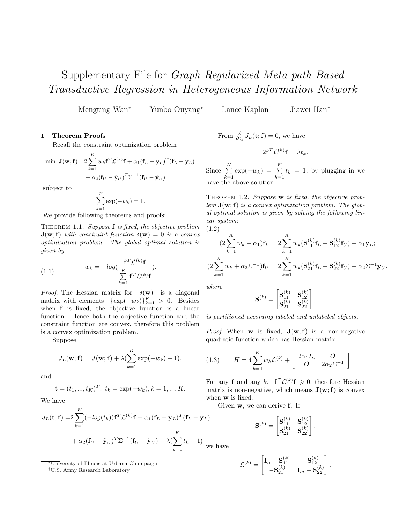## Supplementary File for Graph Regularized Meta-path Based Transductive Regression in Heterogeneous Information Network

Mengting Wan<sup>∗</sup> Yunbo Ouyang<sup>∗</sup> Lance Kaplan† Jiawei Han<sup>∗</sup>

## 1 Theorem Proofs

Recall the constraint optimization problem

$$
\begin{aligned} \min \ \mathbf{J}(\mathbf{w}; \mathbf{f}) = & 2 \sum_{k=1}^{K} w_k \mathbf{f}^T \mathcal{L}^{(k)} \mathbf{f} + \alpha_1 (\mathbf{f}_L - \mathbf{y}_L)^T (\mathbf{f}_L - \mathbf{y}_L) \\ &+ \alpha_2 (\mathbf{f}_U - \tilde{\mathbf{y}}_U)^T \Sigma^{-1} (\mathbf{f}_U - \tilde{\mathbf{y}}_U). \end{aligned}
$$

subject to

$$
\sum_{k=1}^{K} \exp(-w_k) = 1.
$$

We provide following theorems and proofs:

THEOREM 1.1. Suppose  $f$  is fixed, the objective problem  $\mathbf{J}(\mathbf{w}; \mathbf{f})$  with constraint function  $\delta(\mathbf{w}) = 0$  is a convex optimization problem. The global optimal solution is given by

(1.1) 
$$
w_k = -log(\frac{\mathbf{f}^T \mathcal{L}^{(k)} \mathbf{f}}{\sum\limits_{k=1}^K \mathbf{f}^T \mathcal{L}^{(k)} \mathbf{f}}).
$$

*Proof.* The Hessian matrix for  $\delta(\mathbf{w})$  is a diagonal matrix with elements  $\{\exp(-w_k)\}_{k=1}^K > 0$ . Besides when f is fixed, the objective function is a linear function. Hence both the objective function and the constraint function are convex, therefore this problem is a convex optimization problem.

Suppose

$$
J_L(\mathbf{w}; \mathbf{f}) = J(\mathbf{w}; \mathbf{f}) + \lambda (\sum_{k=1}^K \exp(-w_k) - 1),
$$

and

$$
\mathbf{t} = (t_1, ..., t_K)^T, \ t_k = \exp(-w_k), k = 1, ..., K.
$$

We have

$$
J_L(\mathbf{t}; \mathbf{f}) = 2 \sum_{k=1}^K (-\log(t_k)) \mathbf{f}^T \mathcal{L}^{(k)} \mathbf{f} + \alpha_1 (\mathbf{f}_L - \mathbf{y}_L)^T (\mathbf{f}_L - \mathbf{y}_L)
$$
  
+  $\alpha_2 (\mathbf{f}_U - \tilde{\mathbf{y}}_U)^T \Sigma^{-1} (\mathbf{f}_U - \tilde{\mathbf{y}}_U) + \lambda (\sum_{k=1}^K t_k - 1)_{\text{we h}}$ 

<sup>∗</sup>University of Illinois at Urbana-Champaign

†U.S. Army Research Laboratory

From 
$$
\frac{\partial}{\partial t_k} J_L(\mathbf{t}; \mathbf{f}) = 0
$$
, we have

$$
2\mathbf{f}^T \mathcal{L}^{(k)} \mathbf{f} = \lambda t_k.
$$

Since  $\sum_{k=1}^{K}$  $\sum_{k=1}^{K} \exp(-w_k) = \sum_{k=1}^{K}$  $\sum_{k=1} t_k = 1$ , by plugging in we have the above solution.

THEOREM 1.2. Suppose w is fixed, the objective prob $lem J(\mathbf{w}; \mathbf{f})$  is a convex optimization problem. The global optimal solution is given by solving the following linear system:

$$
(1.2)
$$

$$
(2\sum_{k=1}^{K} w_k + \alpha_1) \mathbf{f}_L = 2\sum_{k=1}^{K} w_k (\mathbf{S}_{11}^{(k)} \mathbf{f}_L + \mathbf{S}_{12}^{(k)} \mathbf{f}_U) + \alpha_1 \mathbf{y}_L; (2\sum_{k=1}^{K} w_k + \alpha_2 \Sigma^{-1}) \mathbf{f}_U = 2\sum_{k=1}^{K} w_k (\mathbf{S}_{21}^{(k)} \mathbf{f}_L + \mathbf{S}_{22}^{(k)} \mathbf{f}_U) + \alpha_2 \Sigma^{-1} \tilde{\mathbf{y}}_U.
$$

where

$$
\mathbf{S}^{(k)} = \begin{bmatrix} \mathbf{S}^{(k)}_{11} & \mathbf{S}^{(k)}_{12} \\ \mathbf{S}^{(k)}_{21} & \mathbf{S}^{(k)}_{22} \end{bmatrix},
$$

is partitioned according labeled and unlabeled objects.

*Proof.* When **w** is fixed,  $J(w; f)$  is a non-negative quadratic function which has Hessian matrix

(1.3) 
$$
H = 4 \sum_{k=1}^{K} w_k \mathcal{L}^{(k)} + \begin{bmatrix} 2\alpha_1 I_n & O \\ O & 2\alpha_2 \Sigma^{-1} \end{bmatrix}
$$

For any **f** and any k,  $f^T \mathcal{L}^{(k)} f \geq 0$ , therefore Hessian matrix is non-negative, which means  $J(w;f)$  is convex when w is fixed.

Given w, we can derive f. If

$$
\label{eq:1D1V:1D} {\bf S}^{(k)} = \begin{bmatrix} {\bf S}^{(k)}_{11} & {\bf S}^{(k)}_{12} \\ {\bf S}^{(k)}_{21} & {\bf S}^{(k)}_{22} \end{bmatrix},
$$

ave

$$
\mathcal{L}^{(k)} = \begin{bmatrix} \mathbf{I}_n - \mathbf{S}^{(k)}_{11} & -\mathbf{S}^{(k)}_{12} \\ -\mathbf{S}^{(k)}_{21} & \mathbf{I}_m - \mathbf{S}^{(k)}_{22} \end{bmatrix}.
$$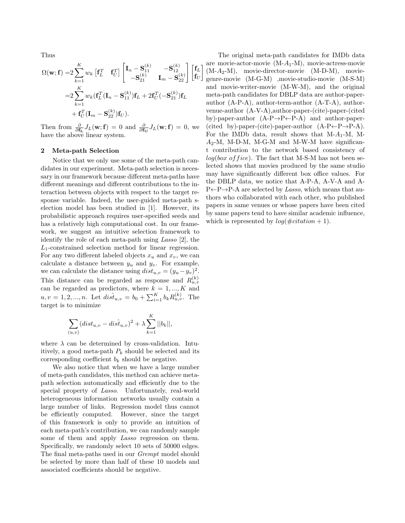Thus

$$
\Omega(\mathbf{w}; \mathbf{f}) = 2 \sum_{k=1}^{K} w_k \begin{bmatrix} \mathbf{f}_L^T & \mathbf{f}_U^T \end{bmatrix} \begin{bmatrix} \mathbf{I}_n - \mathbf{S}_{11}^{(k)} & -\mathbf{S}_{12}^{(k)} \\ -\mathbf{S}_{21}^{(k)} & \mathbf{I}_m - \mathbf{S}_{22}^{(k)} \end{bmatrix} \begin{bmatrix} \mathbf{f}_L \\ \mathbf{f}_U \end{bmatrix}
$$
  
=2  $\sum_{k=1}^{K} w_k (\mathbf{f}_L^T (\mathbf{I}_n - \mathbf{S}_{11}^{(k)}) \mathbf{f}_L + 2 \mathbf{f}_U^T (-\mathbf{S}_{21}^{(k)}) \mathbf{f}_L + \mathbf{f}_U^T (\mathbf{I}_m - \mathbf{S}_{22}^{(k)}) \mathbf{f}_U).$ 

Then from  $\frac{\partial}{\partial \mathbf{f_L}} J_L(\mathbf{w}; \mathbf{f}) = 0$  and  $\frac{\partial}{\partial \mathbf{f_U}} J_L(\mathbf{w}; \mathbf{f}) = 0$ , we have the above linear system.

## 2 Meta-path Selection

Notice that we only use some of the meta-path candidates in our experiment. Meta-path selection is necessary in our framework because different meta-paths have different meanings and different contributions to the interaction between objects with respect to the target response variable. Indeed, the user-guided meta-path selection model has been studied in [1]. However, its probabilistic approach requires user-specified seeds and has a relatively high computational cost. In our framework, we suggest an intuitive selection framework to identify the role of each meta-path using Lasso [2], the  $L_1$ -constrained selection method for linear regression. For any two different labeled objects  $x_u$  and  $x_v$ , we can calculate a distance between  $y_u$  and  $y_v$ . For example, we can calculate the distance using  $dist_{u,v} = (y_u - y_v)^2$ . This distance can be regarded as response and  $R_{u,v}^{(k)}$ can be regarded as predictors, where  $k = 1, ..., K$  and  $u, v = 1, 2, ..., n$ . Let  $dis\hat{t}_{u,v} = b_0 + \sum_{i=1}^{K} b_k R_{u,v}^{(k)}$ . The target is to minimize

$$
\sum_{(u,v)} (dist_{u,v} - dis\hat{t}_{u,v})^2 + \lambda \sum_{k=1}^{K} ||b_k||,
$$

where  $\lambda$  can be determined by cross-validation. Intuitively, a good meta-path  $P_k$  should be selected and its corresponding coefficient  $b_k$  should be negative.

We also notice that when we have a large number of meta-path candidates, this method can achieve metapath selection automatically and efficiently due to the special property of Lasso. Unfortunately, real-world heterogeneous information networks usually contain a large number of links. Regression model thus cannot be efficiently computed. However, since the target of this framework is only to provide an intuition of each meta-path's contribution, we can randomly sample some of them and apply *Lasso* regression on them. Specifically, we randomly select 10 sets of 50000 edges. The final meta-paths used in our Grempt model should be selected by more than half of these 10 models and associated coefficients should be negative.

The original meta-path candidates for IMDb data are movie-actor-movie  $(M-A_1-M)$ , movie-actress-movie (M-A2-M), movie-director-movie (M-D-M), moviegenre-movie (M-G-M) ,movie-studio-movie (M-S-M) and movie-writer-movie (M-W-M), and the original meta-path candidates for DBLP data are author-paperauthor (A-P-A), author-term-author (A-T-A), authorvenue-author (A-V-A),author-paper-(cite)-paper-(cited by)-paper-author  $(A-P\rightarrow P\leftarrow P-A)$  and author-paper-(cited by)-paper-(cite)-paper-author  $(A-P\leftarrow P\rightarrow P-A)$ . For the IMDb data, result shows that  $M-A_1-M$ , M- $A_2$ -M, M-D-M, M-G-M and M-W-M have significant contribution to the network based consistency of  $log(box\ of\ fice)$ . The fact that M-S-M has not been selected shows that movies produced by the same studio may have significantly different box office values. For the DBLP data, we notice that A-P-A, A-V-A and A- $P\leftarrow P\rightarrow P-A$  are selected by Lasso, which means that authors who collaborated with each other, who published papers in same venues or whose papers have been cited by same papers tend to have similar academic influence, which is represented by  $log(\text{\#citation} + 1)$ .